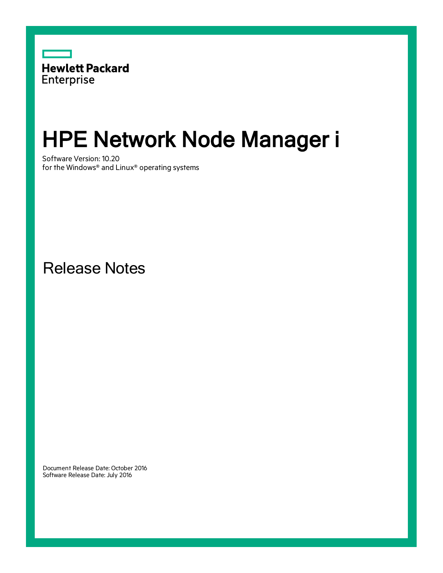

# HPE Network Node Manager i

Software Version: 10.20 for the Windows® and Linux® operating systems

Release Notes

Document Release Date: October 2016 Software Release Date: July 2016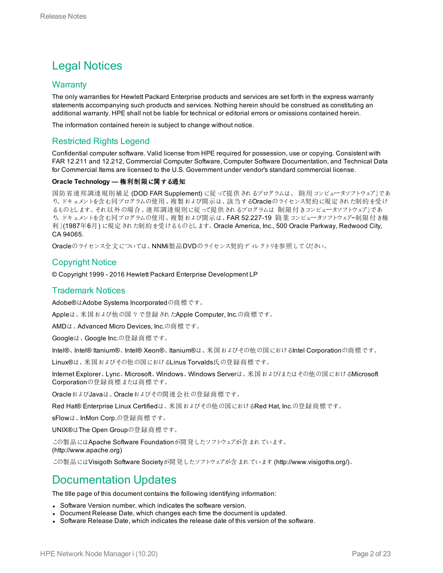### Legal Notices

#### **Warranty**

The only warranties for Hewlett Packard Enterprise products and services are set forth in the express warranty statements accompanying such products and services. Nothing herein should be construed as constituting an additional warranty. HPE shall not be liable for technical or editorial errors or omissions contained herein.

The information contained herein is subject to change without notice.

#### Restricted Rights Legend

Confidential computer software. Valid license from HPE required for possession, use or copying. Consistent with FAR 12.211 and 12.212, Commercial Computer Software, Computer Software Documentation, and Technical Data for Commercial Items are licensed to the U.S. Government under vendor's standard commercial license.

#### **Oracle Technology —** 権利制限に関する通知

国防省連邦調達規則補足 (DOD FAR Supplement) に従って提供されるプログラムは、「商用コンピュータソフトウェア」であ り、ドキュメントを含む同プログラムの使用、複製および開示は、該当するOracleのライセンス契約に規定された制約を受け るものとします。それ以外の場合、連邦調達規則に従って提供されるプログラムは「制限付きコンピュータソフトウェア」であ り,ドキュメントを含む同プログラムの使用、複製および開示は、FAR 52.227-19「商業コンピュータソフトウェア−制限付き権 利」(1987年6月) に規定された制約を受けるものとします。Oracle America, Inc., 500 Oracle Parkway, Redwood City, CA 94065.

Oracleのライセンス全文については、NNMi製品DVDのライセンス契約ディレクトリを参照してください。

#### Copyright Notice

© Copyright 1999 - 2016 Hewlett Packard Enterprise Development LP

#### Trademark Notices

Adobe®はAdobe Systems Incorporatedの商標です。

Appleは、米国および他の国々で登録されたApple Computer, Inc.の商標です。

AMDは、Advanced Micro Devices, Inc.の商標です。

Googleは、Google Inc.の登録商標です。

Intel®、Intel® Itanium®、Intel® Xeon®、Itanium®は、米国およびその他の国におけるIntel Corporationの商標です。

Linux®は、米国およびその他の国におけるLinus Torvalds氏の登録商標です。

Internet Explorer、Lync、Microsoft、Windows、Windows Serverは、米国および/またはその他の国におけるMicrosoft Corporationの登録商標または商標です。

OracleおよびJavaは、Oracleおよびその関連会社の登録商標です。

Red Hat® Enterprise Linux Certifiedは、米国およびその他の国におけるRed Hat, Inc.の登録商標です。

sFlowは、InMon Corp.の登録商標です。

UNIX®はThe Open Groupの登録商標です。

この製品にはApache Software Foundationが開発したソフトウェアが含まれています。 (http://www.apache.org)

この製品にはVisigoth Software Societyが開発したソフトウェアが含まれています(http://www.visigoths.org/)。

### Documentation Updates

The title page of this document contains the following identifying information:

- Software Version number, which indicates the software version.
- Document Release Date, which changes each time the document is updated.
- Software Release Date, which indicates the release date of this version of the software.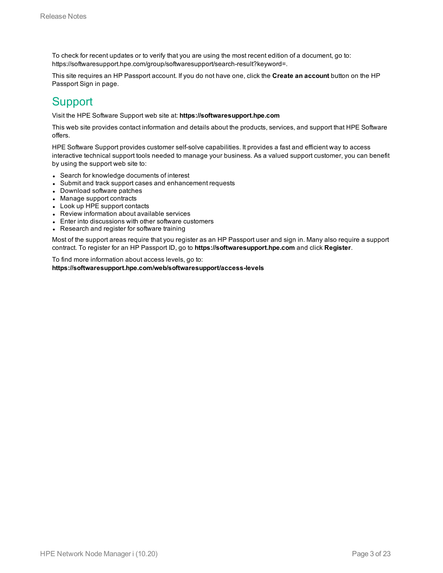To check for recent updates or to verify that you are using the most recent edition of a document, go to: https://softwaresupport.hpe.com/group/softwaresupport/search-result?keyword=.

This site requires an HP Passport account. If you do not have one, click the **Create an account** button on the HP Passport Sign in page.

### **Support**

Visit the HPE Software Support web site at: **https://softwaresupport.hpe.com**

This web site provides contact information and details about the products, services, and support that HPE Software offers.

HPE Software Support provides customer self-solve capabilities. It provides a fast and efficient way to access interactive technical support tools needed to manage your business. As a valued support customer, you can benefit by using the support web site to:

- Search for knowledge documents of interest
- Submit and track support cases and enhancement requests
- Download software patches
- Manage support contracts
- Look up HPE support contacts
- Review information about available services
- Enter into discussions with other software customers
- Research and register for software training

Most of the support areas require that you register as an HP Passport user and sign in. Many also require a support contract. To register for an HP Passport ID, go to **https://softwaresupport.hpe.com** and click **Register**.

To find more information about access levels, go to: **https://softwaresupport.hpe.com/web/softwaresupport/access-levels**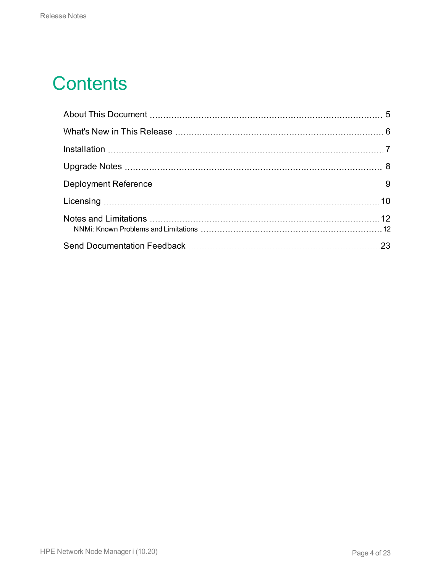## **Contents**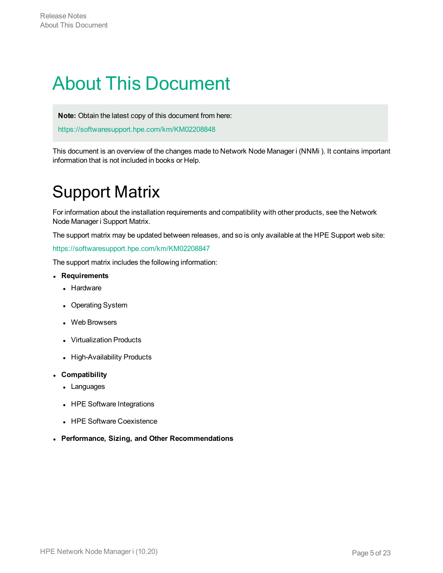## <span id="page-4-0"></span>About This Document

**Note:** Obtain the latest copy of this document from here:

<https://softwaresupport.hpe.com/km/KM02208848>

This document is an overview of the changes made to Network Node Manager i (NNMi ). It contains important information that is not included in books or Help.

### Support Matrix

For information about the installation requirements and compatibility with other products, see the Network Node Manager i Support Matrix.

The support matrix may be updated between releases, and so is only available at the HPE Support web site:

#### <https://softwaresupport.hpe.com/km/KM02208847>

The support matrix includes the following information:

- <sup>l</sup> **Requirements**
	- Hardware
	- Operating System
	- Web Browsers
	- Virtualization Products
	- High-Availability Products
- <sup>l</sup> **Compatibility**
	- Languages
	- HPE Software Integrations
	- HPE Software Coexistence
- <sup>l</sup> **Performance, Sizing, and Other Recommendations**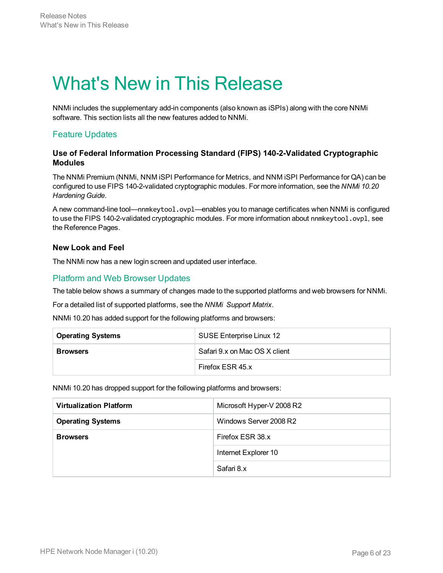### <span id="page-5-0"></span>What's New in This Release

NNMi includes the supplementary add-in components (also known as iSPIs) along with the core NNMi software. This section lists all the new features added to NNMi.

#### Feature Updates

#### **Use of Federal Information Processing Standard (FIPS) 140-2-Validated Cryptographic Modules**

The NNMi Premium (NNMi, NNM iSPI Performance for Metrics, and NNM iSPI Performance for QA) can be configured to use FIPS 140-2-validated cryptographic modules. For more information, see the *NNMi 10.20 Hardening Guide*.

A new command-line tool—nnmkeytool.ovpl—enables you to manage certificates when NNMi is configured to use the FIPS 140-2-validated cryptographic modules. For more information about nnmkeytool.ovpl, see the Reference Pages.

#### **New Look and Feel**

The NNMi now has a new login screen and updated user interface.

#### Platform and Web Browser Updates

The table below shows a summary of changes made to the supported platforms and web browsers for NNMi.

For a detailed list of supported platforms, see the *NNMi Support Matrix*.

NNMi 10.20 has added support for the following platforms and browsers:

| <b>Operating Systems</b> | SUSE Enterprise Linux 12      |
|--------------------------|-------------------------------|
| <b>Browsers</b>          | Safari 9.x on Mac OS X client |
|                          | Firefox ESR 45.x              |

NNMi 10.20 has dropped support for the following platforms and browsers:

| <b>Virtualization Platform</b> | Microsoft Hyper-V 2008 R2 |
|--------------------------------|---------------------------|
| <b>Operating Systems</b>       | Windows Server 2008 R2    |
| <b>Browsers</b>                | Firefox ESR 38.x          |
|                                | Internet Explorer 10      |
|                                | Safari 8.x                |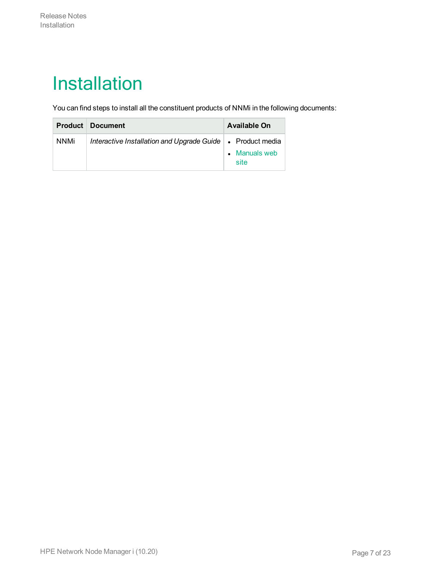## <span id="page-6-0"></span>Installation

You can find steps to install all the constituent products of NNMi in the following documents:

|             | <b>Product Document</b>                                      | Available On          |
|-------------|--------------------------------------------------------------|-----------------------|
| <b>NNMi</b> | Interactive Installation and Upgrade Guide   • Product media | • Manuals web<br>site |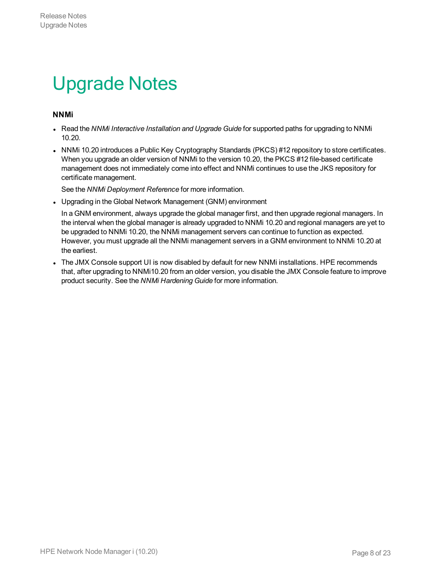## <span id="page-7-0"></span>Upgrade Notes

#### **NNMi**

- <sup>l</sup> Read the *NNMi Interactive Installation and Upgrade Guide* for supported paths for upgrading to NNMi 10.20.
- NNMi 10.20 introduces a Public Key Cryptography Standards (PKCS) #12 repository to store certificates. When you upgrade an older version of NNMi to the version 10.20, the PKCS #12 file-based certificate management does not immediately come into effect and NNMi continues to use the JKS repository for certificate management.

See the *NNMi Deployment Reference* for more information.

• Upgrading in the Global Network Management (GNM) environment

In a GNM environment, always upgrade the global manager first, and then upgrade regional managers. In the interval when the global manager is already upgraded to NNMi 10.20 and regional managers are yet to be upgraded to NNMi 10.20, the NNMi management servers can continue to function as expected. However, you must upgrade all the NNMi management servers in a GNM environment to NNMi 10.20 at the earliest.

• The JMX Console support UI is now disabled by default for new NNMi installations. HPE recommends that, after upgrading to NNMi10.20 from an older version, you disable the JMX Console feature to improve product security. See the *NNMi Hardening Guide* for more information.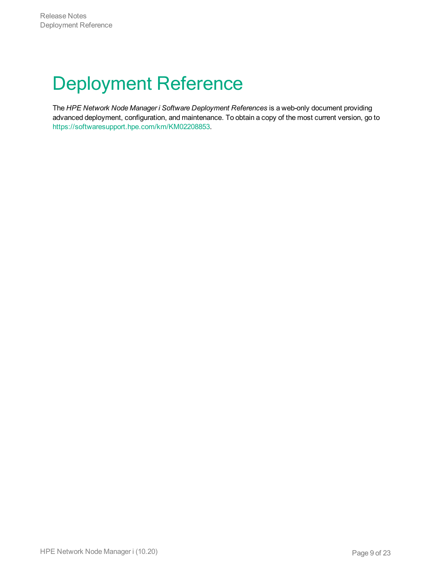# <span id="page-8-0"></span>Deployment Reference

The *HPE Network Node Manager i Software Deployment References* is a web-only document providing advanced deployment, configuration, and maintenance. To obtain a copy of the most current version, go to <https://softwaresupport.hpe.com/km/KM02208853>.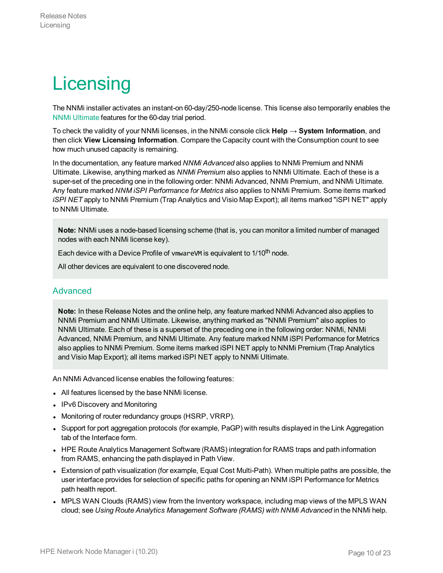# <span id="page-9-0"></span>**Licensing**

The NNMi installer activates an instant-on 60-day/250-node license. This license also temporarily enables the NNMi [Ultimate](#page-10-0) features for the 60-day trial period.

To check the validity of your NNMi licenses, in the NNMi console click **Help → System Information**, and then click **View Licensing Information**. Compare the Capacity count with the Consumption count to see how much unused capacity is remaining.

In the documentation, any feature marked *NNMi Advanced* also applies to NNMi Premium and NNMi Ultimate. Likewise, anything marked as *NNMi Premium* also applies to NNMi Ultimate. Each of these is a super-set of the preceding one in the following order: NNMi Advanced, NNMi Premium, and NNMi Ultimate. Any feature marked *NNM iSPI Performance for Metrics* also applies to NNMi Premium. Some items marked *iSPI NET* apply to NNMi Premium (Trap Analytics and Visio Map Export); all items marked "iSPI NET" apply to NNMi Ultimate.

**Note:** NNMi uses a node-based licensing scheme (that is, you can monitor a limited number of managed nodes with each NNMi license key).

Each device with a Device Profile of vmwareVM is equivalent to 1/10<sup>th</sup> node.

All other devices are equivalent to one discovered node.

#### <span id="page-9-1"></span>Advanced

**Note:** In these Release Notes and the online help, any feature marked NNMi Advanced also applies to NNMi Premium and NNMi Ultimate. Likewise, anything marked as "NNMi Premium" also applies to NNMi Ultimate. Each of these is a superset of the preceding one in the following order: NNMi, NNMi Advanced, NNMi Premium, and NNMi Ultimate. Any feature marked NNM iSPI Performance for Metrics also applies to NNMi Premium. Some items marked iSPI NET apply to NNMi Premium (Trap Analytics and Visio Map Export); all items marked iSPI NET apply to NNMi Ultimate.

An NNMi Advanced license enables the following features:

- All features licensed by the base NNMi license.
- IPv6 Discovery and Monitoring
- Monitoring of router redundancy groups (HSRP, VRRP).
- Support for port aggregation protocols (for example, PaGP) with results displayed in the Link Aggregation tab of the Interface form.
- HPE Route Analytics Management Software (RAMS) integration for RAMS traps and path information from RAMS, enhancing the path displayed in Path View.
- Extension of path visualization (for example, Equal Cost Multi-Path). When multiple paths are possible, the user interface provides for selection of specific paths for opening an NNM iSPI Performance for Metrics path health report.
- MPLS WAN Clouds (RAMS) view from the Inventory workspace, including map views of the MPLS WAN cloud; see *Using Route Analytics Management Software (RAMS) with NNMi Advanced* in the NNMi help.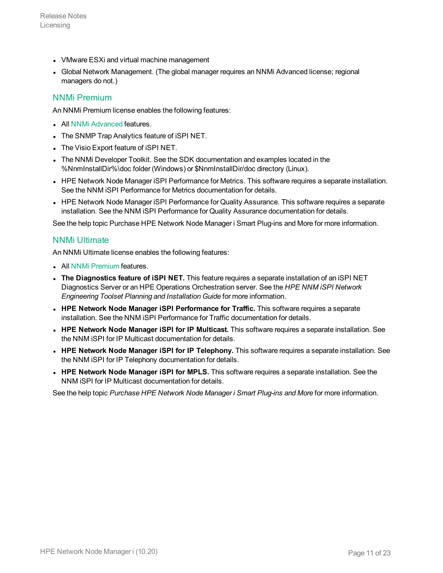- VMware ESXi and virtual machine management
- Global Network Management. (The global manager requires an NNMi Advanced license; regional managers do not.)

#### <span id="page-10-1"></span>NNMi Premium

An NNMi Premium license enables the following features:

- All NNMi [Advanced](#page-9-1) features.
- The SNMP Trap Analytics feature of iSPI NET.
- The Visio Export feature of iSPI NET.
- The NNMi Developer Toolkit. See the SDK documentation and examples located in the %NnmInstallDir%\doc folder (Windows) or \$NnmInstallDir/doc directory (Linux).
- HPE Network Node Manager iSPI Performance for Metrics. This software requires a separate installation. See the NNM iSPI Performance for Metrics documentation for details.
- HPE Network Node Manager iSPI Performance for Quality Assurance. This software requires a separate installation. See the NNM iSPI Performance for Quality Assurance documentation for details.

<span id="page-10-0"></span>See the help topic Purchase HPE Network Node Manager i Smart Plug-ins and More for more information.

#### NNMi Ultimate

An NNMi Ultimate license enables the following features:

- All NNMi [Premium](#page-10-1) features.
- <sup>l</sup> **The Diagnostics feature of iSPI NET.** This feature requires a separate installation of an iSPI NET Diagnostics Server or an HPE Operations Orchestration server. See the *HPE NNM iSPI Network Engineering Toolset Planning and Installation Guide* for more information.
- <sup>l</sup> **HPE Network Node Manager iSPI Performance for Traffic.** This software requires a separate installation. See the NNM iSPI Performance for Traffic documentation for details.
- <sup>l</sup> **HPE Network Node Manager iSPI for IP Multicast.** This software requires a separate installation. See the NNM iSPI for IP Multicast documentation for details.
- <sup>l</sup> **HPE Network Node Manager iSPI for IP Telephony.** This software requires a separate installation. See the NNM iSPI for IP Telephony documentation for details.
- <sup>l</sup> **HPE Network Node Manager iSPI for MPLS.** This software requires a separate installation. See the NNM iSPI for IP Multicast documentation for details.

See the help topic *Purchase HPE Network Node Manager i Smart Plug-ins and More* for more information.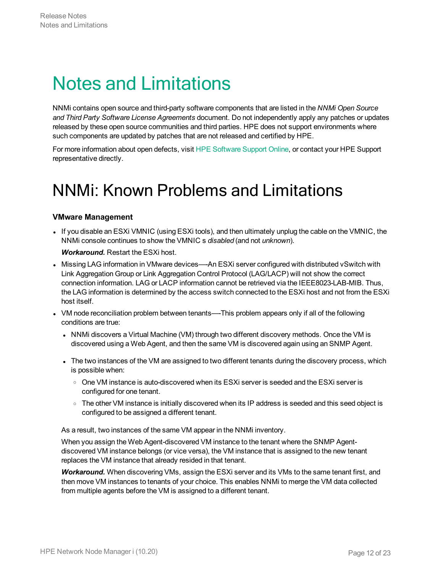### <span id="page-11-0"></span>Notes and Limitations

NNMi contains open source and third-party software components that are listed in the *NNMi Open Source and Third Party Software License Agreements* document. Do not independently apply any patches or updates released by these open source communities and third parties. HPE does not support environments where such components are updated by patches that are not released and certified by HPE.

<span id="page-11-1"></span>For more information about open defects, visit HPE [Software](http://www.hp.com/managementsoftware/support) Support Online, or contact your HPE Support representative directly.

### NNMi: Known Problems and Limitations

#### **VMware Management**

• If you disable an ESXi VMNIC (using ESXi tools), and then ultimately unplug the cable on the VMNIC, the NNMi console continues to show the VMNIC s *disabled* (and not *unknown*).

*Workaround.* Restart the ESXi host.

- Missing LAG information in VMware devices—-An ESXi server configured with distributed vSwitch with Link Aggregation Group or Link Aggregation Control Protocol (LAG/LACP) will not show the correct connection information. LAG or LACP information cannot be retrieved via the IEEE8023-LAB-MIB. Thus, the LAG information is determined by the access switch connected to the ESXi host and not from the ESXi host itself.
- VM node reconciliation problem between tenants—-This problem appears only if all of the following conditions are true:
	- NNMi discovers a Virtual Machine (VM) through two different discovery methods. Once the VM is discovered using a Web Agent, and then the same VM is discovered again using an SNMP Agent.
	- The two instances of the VM are assigned to two different tenants during the discovery process, which is possible when:
		- $\circ$  One VM instance is auto-discovered when its ESXi server is seeded and the ESXi server is configured for one tenant.
		- The other VM instance is initially discovered when its IP address is seeded and this seed object is configured to be assigned a different tenant.

As a result, two instances of the same VM appear in the NNMi inventory.

When you assign the Web Agent-discovered VM instance to the tenant where the SNMP Agentdiscovered VM instance belongs (or vice versa), the VM instance that is assigned to the new tenant replaces the VM instance that already resided in that tenant.

*Workaround.* When discovering VMs, assign the ESXi server and its VMs to the same tenant first, and then move VM instances to tenants of your choice. This enables NNMi to merge the VM data collected from multiple agents before the VM is assigned to a different tenant.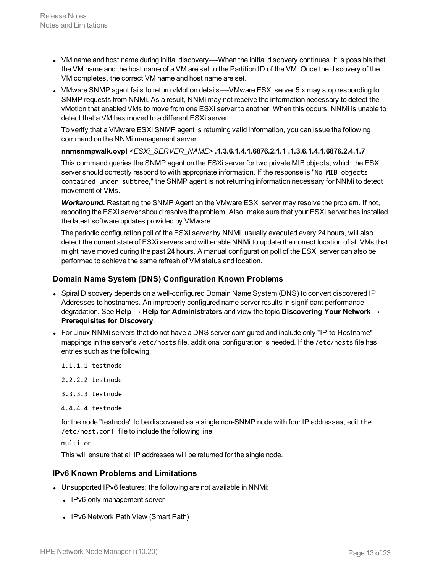- VM name and host name during initial discovery—-When the initial discovery continues, it is possible that the VM name and the host name of a VM are set to the Partition ID of the VM. Once the discovery of the VM completes, the correct VM name and host name are set.
- VMware SNMP agent fails to return vMotion details—-VMware ESXi server 5.x may stop responding to SNMP requests from NNMi. As a result, NNMi may not receive the information necessary to detect the vMotion that enabled VMs to move from one ESXi server to another. When this occurs, NNMi is unable to detect that a VM has moved to a different ESXi server.

To verify that a VMware ESXi SNMP agent is returning valid information, you can issue the following command on the NNMi management server:

**nnmsnmpwalk.ovpl** *<ESXi\_SERVER\_NAME>* **.1.3.6.1.4.1.6876.2.1.1 .1.3.6.1.4.1.6876.2.4.1.7**

This command queries the SNMP agent on the ESXi server for two private MIB objects, which the ESXi server should correctly respond to with appropriate information. If the response is "No MIB objects contained under subtree," the SNMP agent is not returning information necessary for NNMi to detect movement of VMs.

*Workaround.* Restarting the SNMP Agent on the VMware ESXi server may resolve the problem. If not, rebooting the ESXi server should resolve the problem. Also, make sure that your ESXi server has installed the latest software updates provided by VMware.

The periodic configuration poll of the ESXi server by NNMi, usually executed every 24 hours, will also detect the current state of ESXi servers and will enable NNMi to update the correct location of all VMs that might have moved during the past 24 hours. A manual configuration poll of the ESXi server can also be performed to achieve the same refresh of VM status and location.

#### **Domain Name System (DNS) Configuration Known Problems**

- Spiral Discovery depends on a well-configured Domain Name System (DNS) to convert discovered IP Addresses to hostnames. An improperly configured name server results in significant performance degradation. See **Help → Help for Administrators** and view the topic **Discovering Your Network → Prerequisites for Discovery**.
- For Linux NNMi servers that do not have a DNS server configured and include only "IP-to-Hostname" mappings in the server's /etc/hosts file, additional configuration is needed. If the /etc/hosts file has entries such as the following:
	- 1.1.1.1 testnode

2.2.2.2 testnode

- 3.3.3.3 testnode
- 4.4.4.4 testnode

for the node "testnode" to be discovered as a single non-SNMP node with four IP addresses, edit the /etc/host.conf file to include the following line:

multi on

This will ensure that all IP addresses will be returned for the single node.

#### **IPv6 Known Problems and Limitations**

- Unsupported IPv6 features; the following are not available in NNMi:
	- IPv6-only management server
	- IPv6 Network Path View (Smart Path)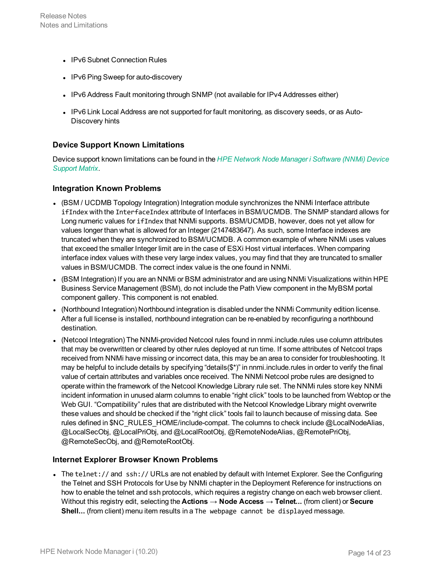- IPv6 Subnet Connection Rules
- IPv6 Ping Sweep for auto-discovery
- IPv6 Address Fault monitoring through SNMP (not available for IPv4 Addresses either)
- IPv6 Link Local Address are not supported for fault monitoring, as discovery seeds, or as Auto-Discovery hints

#### **Device Support Known Limitations**

Device support known limitations can be found in the *HPE Network Node Manager i [Software](https://softwaresupport.hpe.com/km/KM02208863) (NNMi) Device [Support](https://softwaresupport.hpe.com/km/KM02208863) Matrix*.

#### **Integration Known Problems**

- (BSM / UCDMB Topology Integration) Integration module synchronizes the NNMi Interface attribute ifIndex with the InterfaceIndex attribute of Interfaces in BSM/UCMDB. The SNMP standard allows for Long numeric values for ifIndex that NNMi supports. BSM/UCMDB, however, does not yet allow for values longer than what is allowed for an Integer (2147483647). As such, some Interface indexes are truncated when they are synchronized to BSM/UCMDB. A common example of where NNMi uses values that exceed the smaller Integer limit are in the case of ESXi Host virtual interfaces. When comparing interface index values with these very large index values, you may find that they are truncated to smaller values in BSM/UCMDB. The correct index value is the one found in NNMi.
- (BSM Integration) If you are an NNMi or BSM administrator and are using NNMi Visualizations within HPE Business Service Management (BSM), do not include the Path View component in the MyBSM portal component gallery. This component is not enabled.
- (Northbound Integration) Northbound integration is disabled under the NNMi Community edition license. After a full license is installed, northbound integration can be re-enabled by reconfiguring a northbound destination.
- (Netcool Integration) The NNMi-provided Netcool rules found in nnmi.include.rules use column attributes that may be overwritten or cleared by other rules deployed at run time. If some attributes of Netcool traps received from NNMi have missing or incorrect data, this may be an area to consider for troubleshooting. It may be helpful to include details by specifying "details(\$\*)" in nnmi.include.rules in order to verify the final value of certain attributes and variables once received. The NNMi Netcool probe rules are designed to operate within the framework of the Netcool Knowledge Library rule set. The NNMi rules store key NNMi incident information in unused alarm columns to enable "right click" tools to be launched from Webtop or the Web GUI. "Compatibility" rules that are distributed with the Netcool Knowledge Library might overwrite these values and should be checked if the "right click" tools fail to launch because of missing data. See rules defined in \$NC\_RULES\_HOME/include-compat. The columns to check include @LocalNodeAlias, @LocalSecObj, @LocalPriObj, and @LocalRootObj, @RemoteNodeAlias, @RemotePriObj, @RemoteSecObj, and @RemoteRootObj.

#### **Internet Explorer Browser Known Problems**

• The telnet:// and ssh:// URLs are not enabled by default with Internet Explorer. See the Configuring the Telnet and SSH Protocols for Use by NNMi chapter in the Deployment Reference for instructions on how to enable the telnet and ssh protocols, which requires a registry change on each web browser client. Without this registry edit, selecting the **Actions → Node Access → Telnet...** (from client) or **Secure Shell...** (from client) menu item results in a The webpage cannot be displayed message.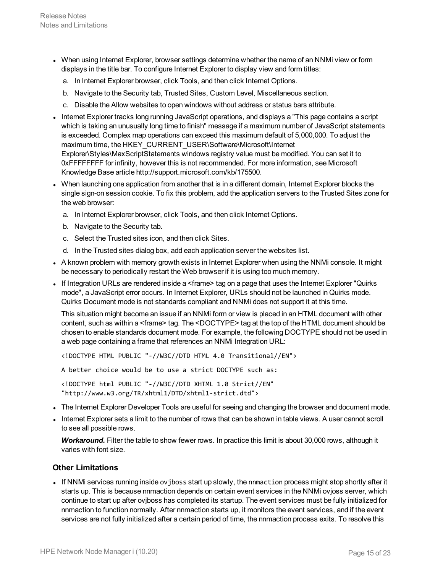- When using Internet Explorer, browser settings determine whether the name of an NNMi view or form displays in the title bar. To configure Internet Explorer to display view and form titles:
	- a. In Internet Explorer browser, click Tools, and then click Internet Options.
	- b. Navigate to the Security tab, Trusted Sites, Custom Level, Miscellaneous section.
	- c. Disable the Allow websites to open windows without address or status bars attribute.
- Internet Explorer tracks long running JavaScript operations, and displays a "This page contains a script which is taking an unusually long time to finish" message if a maximum number of JavaScript statements is exceeded. Complex map operations can exceed this maximum default of 5,000,000. To adjust the maximum time, the HKEY\_CURRENT\_USER\Software\Microsoft\Internet Explorer\Styles\MaxScriptStatements windows registry value must be modified. You can set it to 0xFFFFFFFF for infinity, however this is not recommended. For more information, see Microsoft Knowledge Base article http://support.microsoft.com/kb/175500.
- When launching one application from another that is in a different domain, Internet Explorer blocks the single sign-on session cookie. To fix this problem, add the application servers to the Trusted Sites zone for the web browser:
	- a. In Internet Explorer browser, click Tools, and then click Internet Options.
	- b. Navigate to the Security tab.
	- c. Select the Trusted sites icon, and then click Sites.
	- d. In the Trusted sites dialog box, add each application server the websites list.
- A known problem with memory growth exists in Internet Explorer when using the NNMi console. It might be necessary to periodically restart the Web browser if it is using too much memory.
- If Integration URLs are rendered inside a  $\leq$  frame  $\geq$  tag on a page that uses the Internet Explorer "Quirks" mode", a JavaScript error occurs. In Internet Explorer, URLs should not be launched in Quirks mode. Quirks Document mode is not standards compliant and NNMi does not support it at this time.

This situation might become an issue if an NNMi form or view is placed in an HTML document with other content, such as within a <frame> tag. The <DOCTYPE> tag at the top of the HTML document should be chosen to enable standards document mode. For example, the following DOCTYPE should not be used in a web page containing a frame that references an NNMi Integration URL:

<!DOCTYPE HTML PUBLIC "-//W3C//DTD HTML 4.0 Transitional//EN">

A better choice would be to use a strict DOCTYPE such as:

<!DOCTYPE html PUBLIC "-//W3C//DTD XHTML 1.0 Strict//EN" "http://www.w3.org/TR/xhtml1/DTD/xhtml1-strict.dtd">

- The Internet Explorer Developer Tools are useful for seeing and changing the browser and document mode.
- Internet Explorer sets a limit to the number of rows that can be shown in table views. A user cannot scroll to see all possible rows.

*Workaround.* Filter the table to show fewer rows. In practice this limit is about 30,000 rows, although it varies with font size.

#### **Other Limitations**

• If NNMi services running inside ovjboss start up slowly, the nnmaction process might stop shortly after it starts up. This is because nnmaction depends on certain event services in the NNMi ovjoss server, which continue to start up after ovjboss has completed its startup. The event services must be fully initialized for nnmaction to function normally. After nnmaction starts up, it monitors the event services, and if the event services are not fully initialized after a certain period of time, the nnmaction process exits. To resolve this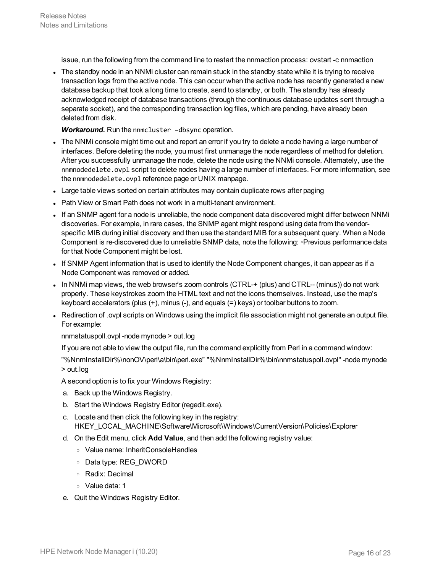issue, run the following from the command line to restart the nnmaction process: ovstart -c nnmaction

The standby node in an NNMi cluster can remain stuck in the standby state while it is trying to receive transaction logs from the active node. This can occur when the active node has recently generated a new database backup that took a long time to create, send to standby, or both. The standby has already acknowledged receipt of database transactions (through the continuous database updates sent through a separate socket), and the corresponding transaction log files, which are pending, have already been deleted from disk.

*Workaround.* Run the nnmcluster –dbsync operation.

- The NNMi console might time out and report an error if you try to delete a node having a large number of interfaces. Before deleting the node, you must first unmanage the node regardless of method for deletion. After you successfully unmanage the node, delete the node using the NNMi console. Alternately, use the nnmnodedelete.ovpl script to delete nodes having a large number of interfaces. For more information, see the nnmnodedelete.ovpl reference page or UNIX manpage.
- Large table views sorted on certain attributes may contain duplicate rows after paging
- Path View or Smart Path does not work in a multi-tenant environment.
- If an SNMP agent for a node is unreliable, the node component data discovered might differ between NNMi discoveries. For example, in rare cases, the SNMP agent might respond using data from the vendorspecific MIB during initial discovery and then use the standard MIB for a subsequent query. When a Node Component is re-discovered due to unreliable SNMP data, note the following: ◦Previous performance data for that Node Component might be lost.
- If SNMP Agent information that is used to identify the Node Component changes, it can appear as if a Node Component was removed or added.
- In NNMi map views, the web browser's zoom controls (CTRL-+ (plus) and CTRL-- (minus)) do not work properly. These keystrokes zoom the HTML text and not the icons themselves. Instead, use the map's keyboard accelerators (plus (+), minus (-), and equals (=) keys) or toolbar buttons to zoom.
- Redirection of .ovpl scripts on Windows using the implicit file association might not generate an output file. For example:

nnmstatuspoll.ovpl -node mynode > out.log

If you are not able to view the output file, run the command explicitly from Perl in a command window:

"%NnmInstallDir%\nonOV\perl\a\bin\perl.exe" "%NnmInstallDir%\bin\nnmstatuspoll.ovpl" -node mynode > out.log

- A second option is to fix your Windows Registry:
- a. Back up the Windows Registry.
- b. Start the Windows Registry Editor (regedit.exe).
- c. Locate and then click the following key in the registry: HKEY\_LOCAL\_MACHINE\Software\Microsoft\Windows\CurrentVersion\Policies\Explorer
- d. On the Edit menu, click **Add Value**, and then add the following registry value:
	- <sup>o</sup> Value name: InheritConsoleHandles
	- <sup>o</sup> Data type: REG\_DWORD
	- <sup>o</sup> Radix: Decimal
	- <sup>o</sup> Value data: 1
- e. Quit the Windows Registry Editor.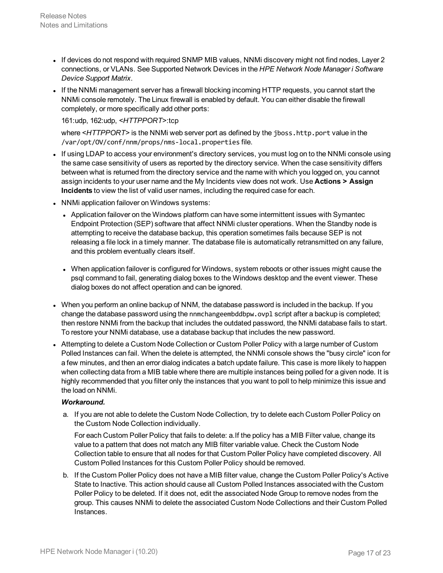- If devices do not respond with required SNMP MIB values, NNMi discovery might not find nodes, Layer 2 connections, or VLANs. See Supported Network Devices in the *HPE Network Node Manager i Software Device Support Matrix*.
- If the NNMi management server has a firewall blocking incoming HTTP requests, you cannot start the NNMi console remotely. The Linux firewall is enabled by default. You can either disable the firewall completely, or more specifically add other ports:

#### 161:udp, 162:udp, *<HTTPPORT>*:tcp

where <HTTPPORT> is the NNMi web server port as defined by the jboss.http.port value in the /var/opt/OV/conf/nnm/props/nms-local.properties file.

- If using LDAP to access your environment's directory services, you must log on to the NNMi console using the same case sensitivity of users as reported by the directory service. When the case sensitivity differs between what is returned from the directory service and the name with which you logged on, you cannot assign incidents to your user name and the My Incidents view does not work. Use **Actions > Assign Incidents** to view the list of valid user names, including the required case for each.
- NNMi application failover on Windows systems:
	- Application failover on the Windows platform can have some intermittent issues with Symantec Endpoint Protection (SEP) software that affect NNMi cluster operations. When the Standby node is attempting to receive the database backup, this operation sometimes fails because SEP is not releasing a file lock in a timely manner. The database file is automatically retransmitted on any failure, and this problem eventually clears itself.
	- When application failover is configured for Windows, system reboots or other issues might cause the psql command to fail, generating dialog boxes to the Windows desktop and the event viewer. These dialog boxes do not affect operation and can be ignored.
- When you perform an online backup of NNM, the database password is included in the backup. If you change the database password using the nnmchangeembddbpw.ovpl script after a backup is completed; then restore NNMi from the backup that includes the outdated password, the NNMi database fails to start. To restore your NNMi database, use a database backup that includes the new password.
- Attempting to delete a Custom Node Collection or Custom Poller Policy with a large number of Custom Polled Instances can fail. When the delete is attempted, the NNMi console shows the "busy circle" icon for a few minutes, and then an error dialog indicates a batch update failure. This case is more likely to happen when collecting data from a MIB table where there are multiple instances being polled for a given node. It is highly recommended that you filter only the instances that you want to poll to help minimize this issue and the load on NNMi.

#### *Workaround.*

a. If you are not able to delete the Custom Node Collection, try to delete each Custom Poller Policy on the Custom Node Collection individually.

For each Custom Poller Policy that fails to delete: a.If the policy has a MIB Filter value, change its value to a pattern that does not match any MIB filter variable value. Check the Custom Node Collection table to ensure that all nodes for that Custom Poller Policy have completed discovery. All Custom Polled Instances for this Custom Poller Policy should be removed.

b. If the Custom Poller Policy does not have a MIB filter value, change the Custom Poller Policy's Active State to Inactive. This action should cause all Custom Polled Instances associated with the Custom Poller Policy to be deleted. If it does not, edit the associated Node Group to remove nodes from the group. This causes NNMi to delete the associated Custom Node Collections and their Custom Polled Instances.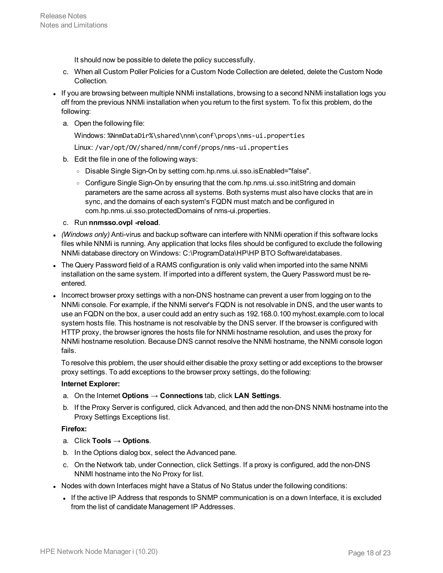It should now be possible to delete the policy successfully.

- c. When all Custom Poller Policies for a Custom Node Collection are deleted, delete the Custom Node Collection.
- If you are browsing between multiple NNMi installations, browsing to a second NNMi installation logs you off from the previous NNMi installation when you return to the first system. To fix this problem, do the following:
	- a. Open the following file:

Windows: %NnmDataDir%\shared\nnm\conf\props\nms-ui.properties

Linux: /var/opt/OV/shared/nnm/conf/props/nms-ui.properties

- b. Edit the file in one of the following ways:
	- <sup>o</sup> Disable Single Sign-On by setting com.hp.nms.ui.sso.isEnabled="false".
	- Configure Single Sign-On by ensuring that the com.hp.nms.ui.sso.initString and domain parameters are the same across all systems. Both systems must also have clocks that are in sync, and the domains of each system's FQDN must match and be configured in com.hp.nms.ui.sso.protectedDomains of nms-ui.properties.
- c. Run **nnmsso.ovpl -reload**.
- <sup>l</sup> *(Windows only)* Anti-virus and backup software can interfere with NNMi operation if this software locks files while NNMi is running. Any application that locks files should be configured to exclude the following NNMi database directory on Windows: C:\ProgramData\HP\HP BTO Software\databases.
- The Query Password field of a RAMS configuration is only valid when imported into the same NNMi installation on the same system. If imported into a different system, the Query Password must be reentered.
- Incorrect browser proxy settings with a non-DNS hostname can prevent a user from logging on to the NNMi console. For example, if the NNMi server's FQDN is not resolvable in DNS, and the user wants to use an FQDN on the box, a user could add an entry such as 192.168.0.100 myhost.example.com to local system hosts file. This hostname is not resolvable by the DNS server. If the browser is configured with HTTP proxy, the browser ignores the hosts file for NNMi hostname resolution, and uses the proxy for NNMi hostname resolution. Because DNS cannot resolve the NNMi hostname, the NNMi console logon fails.

To resolve this problem, the user should either disable the proxy setting or add exceptions to the browser proxy settings. To add exceptions to the browser proxy settings, do the following:

#### **Internet Explorer:**

- a. On the Internet **Options → Connections** tab, click **LAN Settings**.
- b. If the Proxy Server is configured, click Advanced, and then add the non-DNS NNMi hostname into the Proxy Settings Exceptions list.

#### **Firefox:**

- a. Click **Tools → Options**.
- b. In the Options dialog box, select the Advanced pane.
- c. On the Network tab, under Connection, click Settings. If a proxy is configured, add the non-DNS NNMI hostname into the No Proxy for list.
- Nodes with down Interfaces might have a Status of No Status under the following conditions:
	- If the active IP Address that responds to SNMP communication is on a down Interface, it is excluded from the list of candidate Management IP Addresses.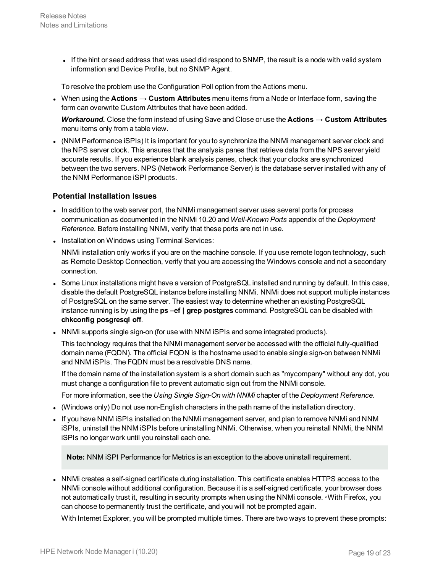If the hint or seed address that was used did respond to SNMP, the result is a node with valid system information and Device Profile, but no SNMP Agent.

To resolve the problem use the Configuration Poll option from the Actions menu.

<sup>l</sup> When using the **Actions → Custom Attributes** menu items from a Node or Interface form, saving the form can overwrite Custom Attributes that have been added.

*Workaround.* Close the form instead of using Save and Close or use the **Actions → Custom Attributes** menu items only from a table view.

• (NNM Performance iSPIs) It is important for you to synchronize the NNMi management server clock and the NPS server clock. This ensures that the analysis panes that retrieve data from the NPS server yield accurate results. If you experience blank analysis panes, check that your clocks are synchronized between the two servers. NPS (Network Performance Server) is the database server installed with any of the NNM Performance iSPI products.

#### **Potential Installation Issues**

- In addition to the web server port, the NNMi management server uses several ports for process communication as documented in the NNMi 10.20 and *Well-Known Ports* appendix of the *Deployment Reference*. Before installing NNMi, verify that these ports are not in use.
- Installation on Windows using Terminal Services:

NNMi installation only works if you are on the machine console. If you use remote logon technology, such as Remote Desktop Connection, verify that you are accessing the Windows console and not a secondary connection.

- Some Linux installations might have a version of PostgreSQL installed and running by default. In this case, disable the default PostgreSQL instance before installing NNMi. NNMi does not support multiple instances of PostgreSQL on the same server. The easiest way to determine whether an existing PostgreSQL instance running is by using the **ps –ef | grep postgres** command. PostgreSQL can be disabled with **chkconfig posgresql off**.
- NNMi supports single sign-on (for use with NNM iSPIs and some integrated products).

This technology requires that the NNMi management server be accessed with the official fully-qualified domain name (FQDN). The official FQDN is the hostname used to enable single sign-on between NNMi and NNM iSPIs. The FQDN must be a resolvable DNS name.

If the domain name of the installation system is a short domain such as "mycompany" without any dot, you must change a configuration file to prevent automatic sign out from the NNMi console.

For more information, see the *Using Single Sign-On with NNMi* chapter of the *Deployment Reference*.

- (Windows only) Do not use non-English characters in the path name of the installation directory.
- If you have NNM iSPIs installed on the NNMi management server, and plan to remove NNMi and NNM iSPIs, uninstall the NNM iSPIs before uninstalling NNMi. Otherwise, when you reinstall NNMi, the NNM iSPIs no longer work until you reinstall each one.

**Note:** NNM iSPI Performance for Metrics is an exception to the above uninstall requirement.

• NNMi creates a self-signed certificate during installation. This certificate enables HTTPS access to the NNMi console without additional configuration. Because it is a self-signed certificate, your browser does not automatically trust it, resulting in security prompts when using the NNMi console. ∘With Firefox, you can choose to permanently trust the certificate, and you will not be prompted again.

With Internet Explorer, you will be prompted multiple times. There are two ways to prevent these prompts: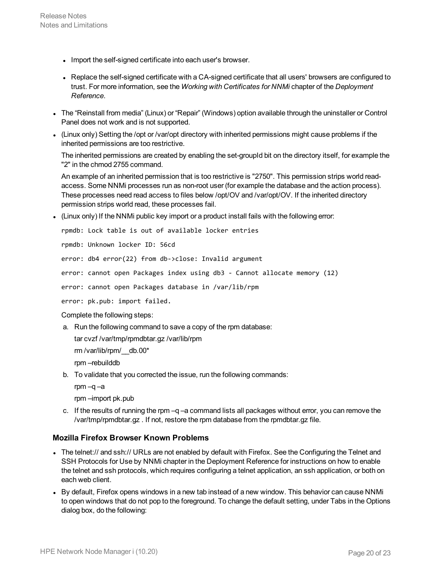- Import the self-signed certificate into each user's browser.
- Replace the self-signed certificate with a CA-signed certificate that all users' browsers are configured to trust. For more information, see the *Working with Certificates for NNMi* chapter of the *Deployment Reference*.
- <sup>l</sup> The "Reinstall from media" (Linux) or "Repair" (Windows) option available through the uninstaller or Control Panel does not work and is not supported.
- (Linux only) Setting the /opt or /var/opt directory with inherited permissions might cause problems if the inherited permissions are too restrictive.

The inherited permissions are created by enabling the set-groupId bit on the directory itself, for example the "2" in the chmod 2755 command.

An example of an inherited permission that is too restrictive is "2750". This permission strips world readaccess. Some NNMi processes run as non-root user (for example the database and the action process). These processes need read access to files below /opt/OV and /var/opt/OV. If the inherited directory permission strips world read, these processes fail.

 $\bullet$  (Linux only) If the NNMi public key import or a product install fails with the following error:

rpmdb: Lock table is out of available locker entries

rpmdb: Unknown locker ID: 56cd

error: db4 error(22) from db->close: Invalid argument

error: cannot open Packages index using db3 - Cannot allocate memory (12)

error: cannot open Packages database in /var/lib/rpm

error: pk.pub: import failed.

Complete the following steps:

a. Run the following command to save a copy of the rpm database:

tar cvzf /var/tmp/rpmdbtar.gz /var/lib/rpm

rm /var/lib/rpm/\_\_db.00\*

rpm –rebuilddb

- b. To validate that you corrected the issue, run the following commands:
	- rpm –q –a

rpm –import pk.pub

c. If the results of running the rpm  $-q$  –a command lists all packages without error, you can remove the /var/tmp/rpmdbtar.gz . If not, restore the rpm database from the rpmdbtar.gz file.

#### **Mozilla Firefox Browser Known Problems**

- The telnet:// and ssh:// URLs are not enabled by default with Firefox. See the Configuring the Telnet and SSH Protocols for Use by NNMi chapter in the Deployment Reference for instructions on how to enable the telnet and ssh protocols, which requires configuring a telnet application, an ssh application, or both on each web client.
- By default, Firefox opens windows in a new tab instead of a new window. This behavior can cause NNMi to open windows that do not pop to the foreground. To change the default setting, under Tabs in the Options dialog box, do the following: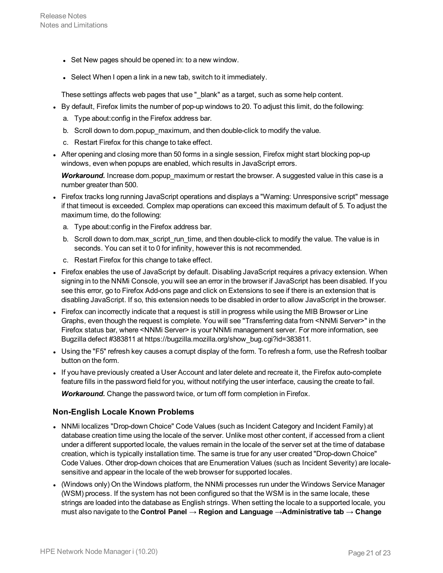- Set New pages should be opened in: to a new window.
- Select When I open a link in a new tab, switch to it immediately.

These settings affects web pages that use "\_blank" as a target, such as some help content.

- By default, Firefox limits the number of pop-up windows to 20. To adjust this limit, do the following:
	- a. Type about:config in the Firefox address bar.
	- b. Scroll down to dom.popup\_maximum, and then double-click to modify the value.
	- c. Restart Firefox for this change to take effect.
- After opening and closing more than 50 forms in a single session, Firefox might start blocking pop-up windows, even when popups are enabled, which results in JavaScript errors.

*Workaround.* Increase dom.popup\_maximum or restart the browser. A suggested value in this case is a number greater than 500.

- Firefox tracks long running JavaScript operations and displays a "Warning: Unresponsive script" message if that timeout is exceeded. Complex map operations can exceed this maximum default of 5. To adjust the maximum time, do the following:
	- a. Type about:config in the Firefox address bar.
	- b. Scroll down to dom.max\_script\_run\_time, and then double-click to modify the value. The value is in seconds. You can set it to 0 for infinity, however this is not recommended.
	- c. Restart Firefox for this change to take effect.
- Firefox enables the use of JavaScript by default. Disabling JavaScript requires a privacy extension. When signing in to the NNMi Console, you will see an error in the browser if JavaScript has been disabled. If you see this error, go to Firefox Add-ons page and click on Extensions to see if there is an extension that is disabling JavaScript. If so, this extension needs to be disabled in order to allow JavaScript in the browser.
- Firefox can incorrectly indicate that a request is still in progress while using the MIB Browser or Line Graphs, even though the request is complete. You will see "Transferring data from <NNMi Server>" in the Firefox status bar, where <NNMi Server> is your NNMi management server. For more information, see Bugzilla defect #383811 at https://bugzilla.mozilla.org/show\_bug.cgi?id=383811.
- Using the "F5" refresh key causes a corrupt display of the form. To refresh a form, use the Refresh toolbar button on the form.
- If you have previously created a User Account and later delete and recreate it, the Firefox auto-complete feature fills in the password field for you, without notifying the user interface, causing the create to fail.

*Workaround.* Change the password twice, or turn off form completion in Firefox.

#### **Non-English Locale Known Problems**

- NNMi localizes "Drop-down Choice" Code Values (such as Incident Category and Incident Family) at database creation time using the locale of the server. Unlike most other content, if accessed from a client under a different supported locale, the values remain in the locale of the server set at the time of database creation, which is typically installation time. The same is true for any user created "Drop-down Choice" Code Values. Other drop-down choices that are Enumeration Values (such as Incident Severity) are localesensitive and appear in the locale of the web browser for supported locales.
- (Windows only) On the Windows platform, the NNMi processes run under the Windows Service Manager (WSM) process. If the system has not been configured so that the WSM is in the same locale, these strings are loaded into the database as English strings. When setting the locale to a supported locale, you must also navigate to the **Control Panel → Region and Language →Administrative tab → Change**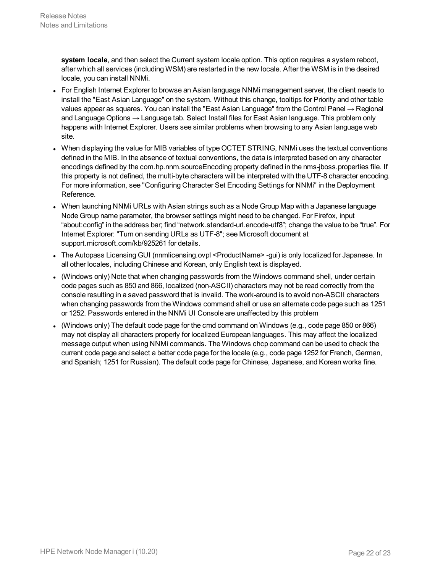**system locale**, and then select the Current system locale option. This option requires a system reboot, after which all services (including WSM) are restarted in the new locale. After the WSM is in the desired locale, you can install NNMi.

- For English Internet Explorer to browse an Asian language NNMi management server, the client needs to install the "East Asian Language" on the system. Without this change, tooltips for Priority and other table values appear as squares. You can install the "East Asian Language" from the Control Panel  $\rightarrow$  Regional and Language Options → Language tab. Select Install files for East Asian language. This problem only happens with Internet Explorer. Users see similar problems when browsing to any Asian language web site.
- When displaying the value for MIB variables of type OCTET STRING, NNMi uses the textual conventions defined in the MIB. In the absence of textual conventions, the data is interpreted based on any character encodings defined by the com.hp.nnm.sourceEncoding property defined in the nms-jboss.properties file. If this property is not defined, the multi-byte characters will be interpreted with the UTF-8 character encoding. For more information, see "Configuring Character Set Encoding Settings for NNMi" in the Deployment Reference.
- When launching NNMi URLs with Asian strings such as a Node Group Map with a Japanese language Node Group name parameter, the browser settings might need to be changed. For Firefox, input "about:config" in the address bar; find "network.standard-url.encode-utf8"; change the value to be "true". For Internet Explorer: "Turn on sending URLs as UTF-8"; see Microsoft document at support.microsoft.com/kb/925261 for details.
- The Autopass Licensing GUI (nnmlicensing.ovpl <ProductName>-gui) is only localized for Japanese. In all other locales, including Chinese and Korean, only English text is displayed.
- (Windows only) Note that when changing passwords from the Windows command shell, under certain code pages such as 850 and 866, localized (non-ASCII) characters may not be read correctly from the console resulting in a saved password that is invalid. The work-around is to avoid non-ASCII characters when changing passwords from the Windows command shell or use an alternate code page such as 1251 or 1252. Passwords entered in the NNMi UI Console are unaffected by this problem
- <sup>l</sup> (Windows only) The default code page for the cmd command on Windows (e.g., code page 850 or 866) may not display all characters properly for localized European languages. This may affect the localized message output when using NNMi commands. The Windows chcp command can be used to check the current code page and select a better code page for the locale (e.g., code page 1252 for French, German, and Spanish; 1251 for Russian). The default code page for Chinese, Japanese, and Korean works fine.